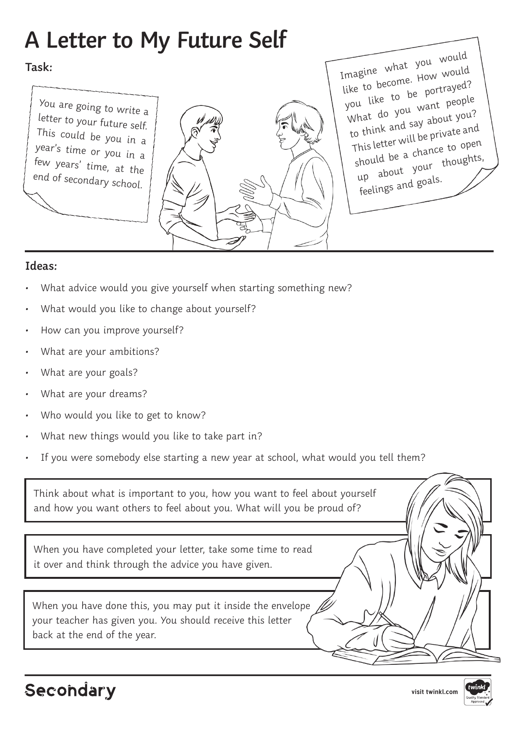## **A Letter to My Future Self**

## **Task:**

You are going to write a letter to your future self. This could be you in a year's time or you in a few years' time, at the end of secondary school.

Imagine what you would like to become. How would you like to be portrayed? What do you want people to think and say about you? This letter will be private and should be a chance to open up about your thoughts, feelings and goals.

## **Ideas:**

- What advice would you give yourself when starting something new?
- What would you like to change about yourself?
- How can you improve yourself?
- What are your ambitions?
- What are your goals?
- What are your dreams?
- Who would you like to get to know?
- What new things would you like to take part in?
- If you were somebody else starting a new year at school, what would you tell them?

Think about what is important to you, how you want to feel about yourself and how you want others to feel about you. What will you be proud of?

When you have completed your letter, take some time to read it over and think through the advice you have given.

When you have done this, you may put it inside the envelope your teacher has given you. You should receive this letter back at the end of the year.